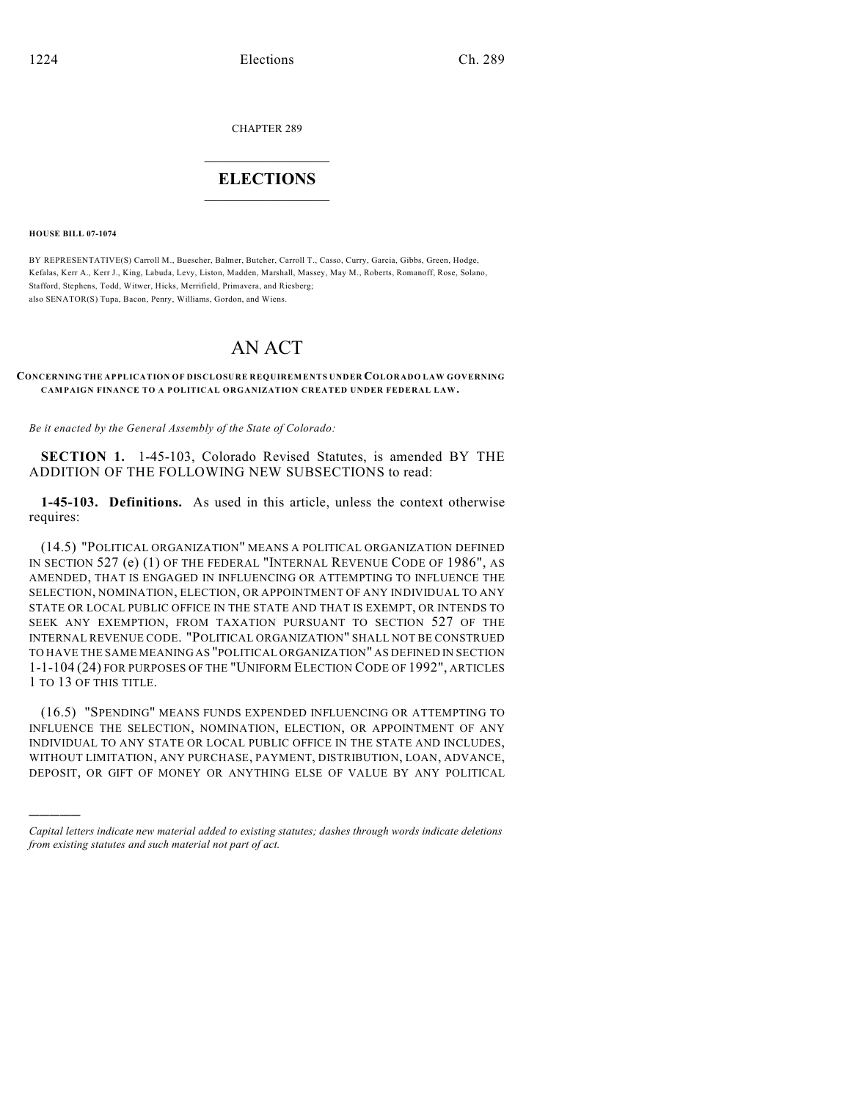CHAPTER 289

## $\mathcal{L}_\text{max}$  . The set of the set of the set of the set of the set of the set of the set of the set of the set of the set of the set of the set of the set of the set of the set of the set of the set of the set of the set **ELECTIONS**  $\_$

**HOUSE BILL 07-1074**

)))))

BY REPRESENTATIVE(S) Carroll M., Buescher, Balmer, Butcher, Carroll T., Casso, Curry, Garcia, Gibbs, Green, Hodge, Kefalas, Kerr A., Kerr J., King, Labuda, Levy, Liston, Madden, Marshall, Massey, May M., Roberts, Romanoff, Rose, Solano, Stafford, Stephens, Todd, Witwer, Hicks, Merrifield, Primavera, and Riesberg; also SENATOR(S) Tupa, Bacon, Penry, Williams, Gordon, and Wiens.

## AN ACT

## **CONCERNING THE APPLICATION OF DISCLOSURE REQUIREMENTS UNDER COLORADO LAW GOVERNING CAMPAIGN FINANCE TO A POLITICAL ORGANIZATION CREATED UNDER FEDERAL LAW.**

*Be it enacted by the General Assembly of the State of Colorado:*

**SECTION 1.** 1-45-103, Colorado Revised Statutes, is amended BY THE ADDITION OF THE FOLLOWING NEW SUBSECTIONS to read:

**1-45-103. Definitions.** As used in this article, unless the context otherwise requires:

(14.5) "POLITICAL ORGANIZATION" MEANS A POLITICAL ORGANIZATION DEFINED IN SECTION 527 (e) (1) OF THE FEDERAL "INTERNAL REVENUE CODE OF 1986", AS AMENDED, THAT IS ENGAGED IN INFLUENCING OR ATTEMPTING TO INFLUENCE THE SELECTION, NOMINATION, ELECTION, OR APPOINTMENT OF ANY INDIVIDUAL TO ANY STATE OR LOCAL PUBLIC OFFICE IN THE STATE AND THAT IS EXEMPT, OR INTENDS TO SEEK ANY EXEMPTION, FROM TAXATION PURSUANT TO SECTION 527 OF THE INTERNAL REVENUE CODE. "POLITICAL ORGANIZATION" SHALL NOT BE CONSTRUED TO HAVE THE SAME MEANING AS "POLITICAL ORGANIZATION" AS DEFINED IN SECTION 1-1-104 (24) FOR PURPOSES OF THE "UNIFORM ELECTION CODE OF 1992", ARTICLES 1 TO 13 OF THIS TITLE.

(16.5) "SPENDING" MEANS FUNDS EXPENDED INFLUENCING OR ATTEMPTING TO INFLUENCE THE SELECTION, NOMINATION, ELECTION, OR APPOINTMENT OF ANY INDIVIDUAL TO ANY STATE OR LOCAL PUBLIC OFFICE IN THE STATE AND INCLUDES, WITHOUT LIMITATION, ANY PURCHASE, PAYMENT, DISTRIBUTION, LOAN, ADVANCE, DEPOSIT, OR GIFT OF MONEY OR ANYTHING ELSE OF VALUE BY ANY POLITICAL

*Capital letters indicate new material added to existing statutes; dashes through words indicate deletions from existing statutes and such material not part of act.*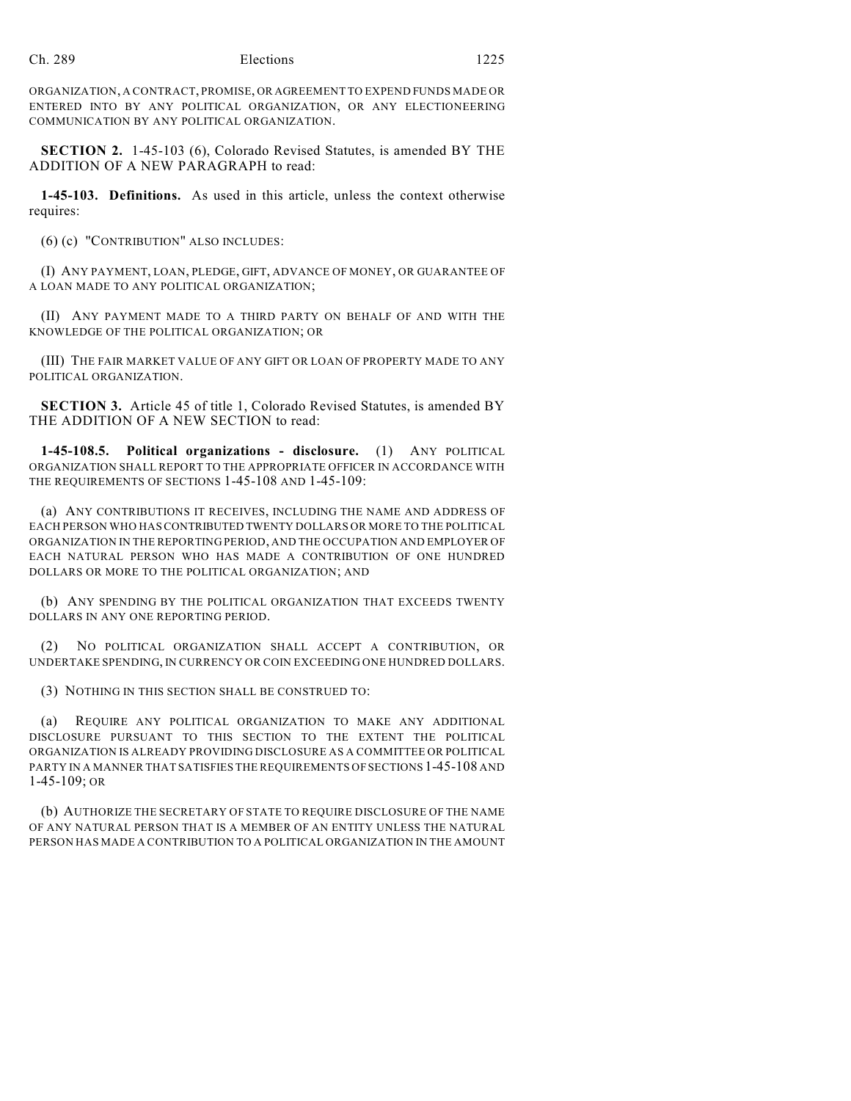ORGANIZATION, A CONTRACT, PROMISE, OR AGREEMENT TO EXPEND FUNDS MADE OR ENTERED INTO BY ANY POLITICAL ORGANIZATION, OR ANY ELECTIONEERING COMMUNICATION BY ANY POLITICAL ORGANIZATION.

**SECTION 2.** 1-45-103 (6), Colorado Revised Statutes, is amended BY THE ADDITION OF A NEW PARAGRAPH to read:

**1-45-103. Definitions.** As used in this article, unless the context otherwise requires:

(6) (c) "CONTRIBUTION" ALSO INCLUDES:

(I) ANY PAYMENT, LOAN, PLEDGE, GIFT, ADVANCE OF MONEY, OR GUARANTEE OF A LOAN MADE TO ANY POLITICAL ORGANIZATION;

(II) ANY PAYMENT MADE TO A THIRD PARTY ON BEHALF OF AND WITH THE KNOWLEDGE OF THE POLITICAL ORGANIZATION; OR

(III) THE FAIR MARKET VALUE OF ANY GIFT OR LOAN OF PROPERTY MADE TO ANY POLITICAL ORGANIZATION.

**SECTION 3.** Article 45 of title 1, Colorado Revised Statutes, is amended BY THE ADDITION OF A NEW SECTION to read:

**1-45-108.5. Political organizations - disclosure.** (1) ANY POLITICAL ORGANIZATION SHALL REPORT TO THE APPROPRIATE OFFICER IN ACCORDANCE WITH THE REQUIREMENTS OF SECTIONS 1-45-108 AND 1-45-109:

(a) ANY CONTRIBUTIONS IT RECEIVES, INCLUDING THE NAME AND ADDRESS OF EACH PERSON WHO HAS CONTRIBUTED TWENTY DOLLARS OR MORE TO THE POLITICAL ORGANIZATION IN THE REPORTING PERIOD, AND THE OCCUPATION AND EMPLOYER OF EACH NATURAL PERSON WHO HAS MADE A CONTRIBUTION OF ONE HUNDRED DOLLARS OR MORE TO THE POLITICAL ORGANIZATION; AND

(b) ANY SPENDING BY THE POLITICAL ORGANIZATION THAT EXCEEDS TWENTY DOLLARS IN ANY ONE REPORTING PERIOD.

(2) NO POLITICAL ORGANIZATION SHALL ACCEPT A CONTRIBUTION, OR UNDERTAKE SPENDING, IN CURRENCY OR COIN EXCEEDING ONE HUNDRED DOLLARS.

(3) NOTHING IN THIS SECTION SHALL BE CONSTRUED TO:

(a) REQUIRE ANY POLITICAL ORGANIZATION TO MAKE ANY ADDITIONAL DISCLOSURE PURSUANT TO THIS SECTION TO THE EXTENT THE POLITICAL ORGANIZATION IS ALREADY PROVIDING DISCLOSURE AS A COMMITTEE OR POLITICAL PARTY IN A MANNER THAT SATISFIES THE REQUIREMENTS OF SECTIONS 1-45-108 AND 1-45-109; OR

(b) AUTHORIZE THE SECRETARY OF STATE TO REQUIRE DISCLOSURE OF THE NAME OF ANY NATURAL PERSON THAT IS A MEMBER OF AN ENTITY UNLESS THE NATURAL PERSON HAS MADE A CONTRIBUTION TO A POLITICAL ORGANIZATION IN THE AMOUNT